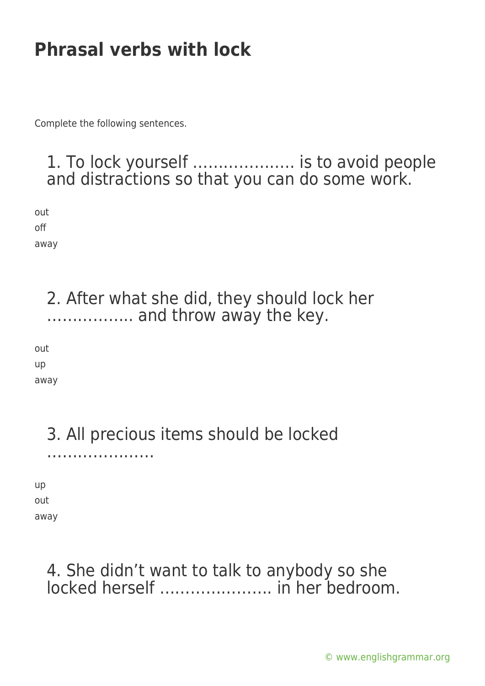Complete the following sentences.

#### 1. To lock yourself ……………….. is to avoid people and distractions so that you can do some work.

out off away

> 2. After what she did, they should lock her …………….. and throw away the key.

out up away

# 3. All precious items should be locked

…………………

up out away

#### 4. She didn't want to talk to anybody so she locked herself …………………. in her bedroom.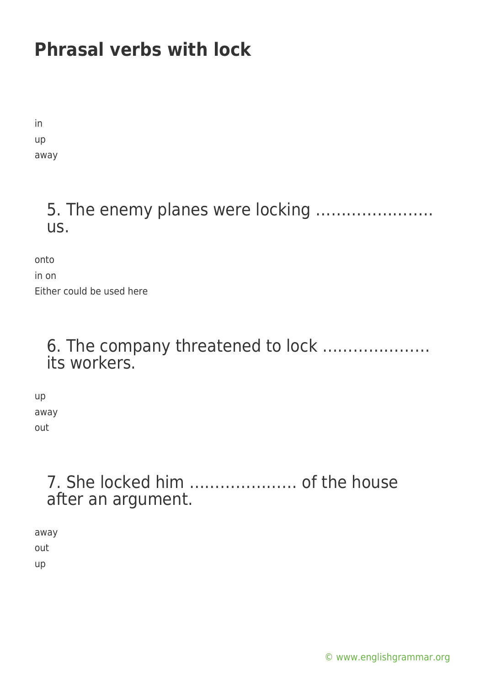in up away

### 5. The enemy planes were locking ………………….. us.

onto

in on Either could be used here

#### 6. The company threatened to lock ………………… its workers.

up away out

### 7. She locked him ………………… of the house after an argument.

away out up

[© www.englishgrammar.org](https://www.englishgrammar.org/)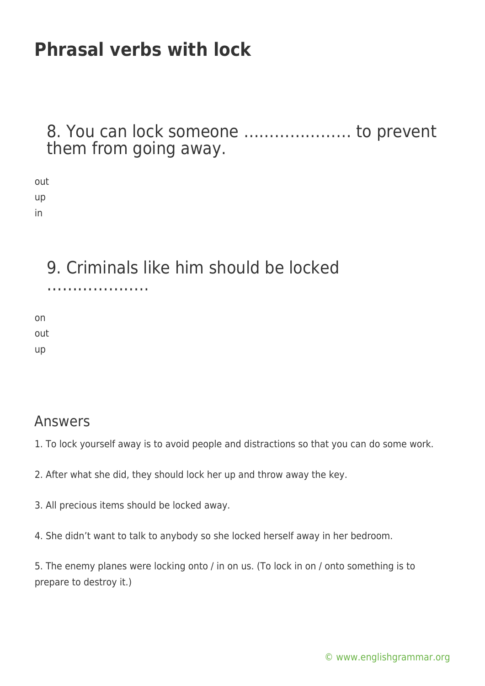#### 8. You can lock someone ………………… to prevent them from going away.

| out |
|-----|
| up  |
| ın  |

9. Criminals like him should be locked

………………..

on out up

#### Answers

- 1. To lock yourself away is to avoid people and distractions so that you can do some work.
- 2. After what she did, they should lock her up and throw away the key.
- 3. All precious items should be locked away.
- 4. She didn't want to talk to anybody so she locked herself away in her bedroom.

5. The enemy planes were locking onto / in on us. (To lock in on / onto something is to prepare to destroy it.)